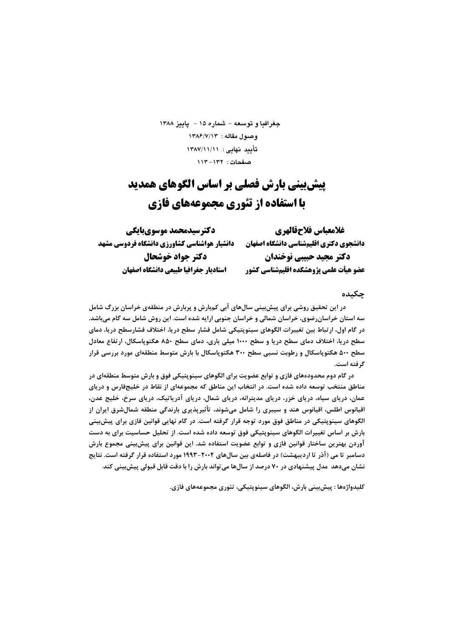جغرافيا و توسعه - شماره ۱۵ - - ياييز ۱۳۸۸ وصبول مقاله: ١٣٨۶/٧/١٣ تأييد نهايى: ١٣٨٧/١١/١١ صفحات: ١٣٢-١١٣

# **پیش بینی بارش فصلی بر اساس الگوهای همدید** با استفاده از تئوري مجموعههاي فازي

| دكترسيدمحمد موسوىبايكي                       | غلامعباس فلاحقالهري                     |  |  |  |  |
|----------------------------------------------|-----------------------------------------|--|--|--|--|
| دانشیار هواشناسی کشاورزی دانشگاه فردوسی مشهد | دانشجوي دكتري اقليمشناسي دانشكاه اصفهان |  |  |  |  |
| دكتر جواد خوشحال                             | دکتر مجید حبیبی نوخندان                 |  |  |  |  |
| استاديار جغرافيا طبيعي دانشكاه اصفهان        | عضو هيأت علمي پژوهشكده اقليمشناسي كشور  |  |  |  |  |

## چکىدە

در این تحقیق روشی برای پیش بینی سالهای آبی کمبارش و پربارش در منطقهی خراسان بزرگ شامل سه استان خراسانرضوی، خراسان شمالی و خراسان جنوبی ارایه شده است. این روش شامل سه گام میباشد. در گام اول، ارتباط بین تغییرات الگوهای سینوپتیکی شامل فشار سطح دریا، اختلاف فشارسطح دریا، دمای سطح دریا، اختلاف دمای سطح دریا و سطح ۱۰۰۰ میلی باری، دمای سطح ۸۵۰ هکتوپاسکال، ارتفاع معادل سطح ۵۰۰ هکتوپاسکال و رطوبت نسبی سطح ۳۰۰ هکتوپاسکال با بارش متوسط منطقهای مورد بررسی قرار گرفته است.

در گام دوم محدودههای فازی و توابع عضویت برای الگوهای سینوپتیکی فوق و بارش متوسط منطقهای در مناطق منتخب توسعه داده شده است. در انتخاب این مناطق که مجموعهای از نقاط در خلیجفارس و دریای عمان، دریای سیاه، دریای خزر، دریای مدیترانه، دریای شمال، دریای آدریاتیک، دریای سرخ، خلیج عدن، اقیانوس اطلس، اقیانوس هند و سیبری را شامل میشوند، تأثیرپذیری بارندگی منطقه شمالشرق ایران از الگوهای سینوپتیکی در مناطق فوق مورد توجه قرار گرفته است. در گام نهایی قوانین فازی برای پیشبینی بارش بر اساس تغییرات الگوهای سینوپتیکی فوق توسعه داده شده است. از تحلیل حساسیت برای به دست آوردن بهترین ساختار قوانین فازی و توابع عضویت استفاده شد. این قوانین برای پیش بینی مجموع بارش دسامبر تا می (آذر تا اردیبهشت) در فاصلهی بین سالهای ۲۰۰۲–۱۹۹۳ مورد استفاده قرار گرفته است. نتایج نشان میدهد مدل پیشنهادی در ۷۰ درصد از سالها می تواند بارش را با دقت قابل قبولی پیش بینی کند.

كليدواژەها : پيش;بيني بارش، الگوهاي سينويتيكي، تئوري مجموعەهاي فازي.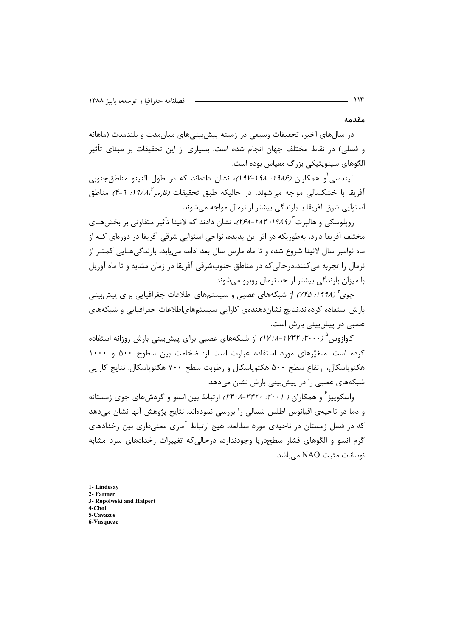مقدمه

در سالهای اخیر، تحقیقات وسیعی در زمینه پیش بینیهای میان مدت و بلندمدت (ماهانه و فصلی) در نقاط مختلف جهان انجام شده است. بسیاری از این تحقیقات بر مبنای تأثیر الگوهای سینویتیکی بزرگ مقیاس بوده است.

لیندسی و همکاران (۱*۹۸۶: ۱۹۸–۱۹۷)*، نشان دادهاند که در طول النینو مناطق *ج*نوبی آفريقا با خشكسالي مواجه مي شوند، در حاليكه طبق تحقيقات *(فارمر '،١٩٨٨: ٩-۴)* مناطق استوایی شرق آفریقا با بارندگی بیشتر از نرمال مواجه می شوند.

روپلوسکی و هالیرت<sup>۳</sup> (*۲۸۹ ا: ۲۸۴–۲۶۸)*، نشان دادند که لانینا تأثیر متفاوتی بر بخشههای مختلف آفریقا دارد، بەطوریکە در اثر این پدیده، نواحی استواپی شرقی آفریقا در دورەای کـه از ماه نوامبر سال لانینا شروع شده و تا ماه مارس سال بعد ادامه می یابد، بارندگیهـایی کمتـر از نرمال را تجربه می کنند،درحالی که در مناطق جنوبشرقی آفریقا در زمان مشابه و تا ماه آوریل با میزان بارندگی بیشتر از حد نرمال روبرو می شوند.

*چوی تا (۱۹۹۸: ۲۴۵)* از شبکههای عصبی و سیستمهای اطلاعات جغرافیایی برای پیش بینی بارش استفاده كردهاند.نتايج نشاندهندهى كارايي سيستمهاىاطلاعات جغرافيايي و شبكههاى عصبے در پیش بینے، بارش است.

کاوازوس ۲۰۰۰/ ۱۷۳۲-۱۷۱۸) از شبکههای عصبی برای پیشبینی بارش روزانه استفاده کرده است. متغیّرهای مورد استفاده عبارت است از: ضخامت بین سطوح ۵۰۰ و ۱۰۰۰ هکتویاسکال، ارتفاع سطح ۵۰۰ هکتوپاسکال و رطوبت سطح ۷۰۰ هکتوپاسکال. نتایج کارایی شبکههای عصبی را در پیشبینی بارش نشان می دهد.

واسکوییز ٔ و همکاران ( ۳۶۰٬ -۳۴۰٬ -۳۴۰٬ ارتباط بین انسو و گردشهای جوی زمستانه و دما در ناحیهی اقیانوس اطلس شمالی را بررسی نمودهاند. نتایج پژوهش آنها نشان میدهد که در فصل زمستان در ناحیهی مورد مطالعه، هیچ ارتباط آماری معنیداری بین رخدادهای گرم انسو و الگوهای فشار سطحدریا وجودندارد، درحالیکه تغییرات رخدادهای سرد مشابه نوسانات مثبت NAO می باشد.

- 1-Lindesay
- 2- Farmer
- 3- Ropolwski and Halpert  $4$ -Choi
- 5-Cavazos
- 6-Vasqueze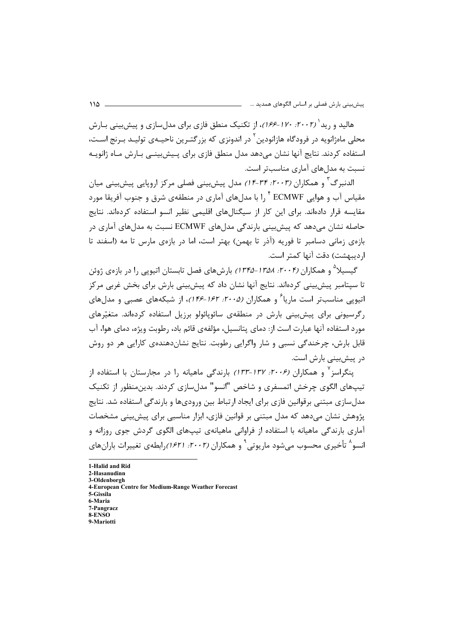هالید و <sub>د</sub>ید<sup>(</sup> (۲۰۰۲، ۱*۷۰–۱۶۶)*، از تکنیک منطق فازی برای مدل سازی و پیش بینی بیارش محل<sub>ه،</sub> ماهژانویه در فرودگاه هازانودین<sup>۲</sup> در اندونزی که بزرگتـرین ناحیــهی تولیـد بـرنج اسـت، استفاده کردند. نتایج آنها نشان میدهد مدل منطق فازی برای پـیش،بینـی بـارش مـاه ژانویـه نسبت به مدلهای آماری مناسبتر است.

الدنبرگ<sup>۳</sup> و همکاران (۲۰۰۳: ۳۴-۱۴) مدل پیشبینی فصلی مرکز اروپایی پیشبینی میان مقباس آب و هوایی ECMWF <sup>۴</sup> .ا با مدلهای آماری در منطقهی شرق و جنوب آفریقا مورد مقایسه قرار دادهاند. برای این کار از سیگنالهای اقلیمی نظیر انسو استفاده کردهاند. نتایج حاصله نشان می۵هد که پیش بینی بارندگی مدلهای ECMWF نسبت به مدلهای آماری در بازەي زمانى دسامبر تا فوريە (آذر تا بهمن) بهتر است، اما در بازەي مارس تا مە (اسفند تا ا, ديبهشت) دقت آنها كمتر است.

گیسیلا<sup>۵</sup> و همکاران (۲۰۰۴*: ۱۳۵۸–۱۳۴۵)* بارشهای فصل تابستان اتیوپی را در بازهی ژوئن تا سیتامبر پیشبینی کردهاند. نتایج آنها نشان داد که پیشبینی بارش برای بخش غربی مرکز اتیویی مناسبتر است ماریا<sup>۶</sup> و همکاران (۲۰*۰۵: ۱۶۲-۱۴۶)*، از شبکههای عصبی و مدلهای رگرسیونی برای پیش بینی بارش در منطقهی سائویائولو برزیل استفاده کردهاند. متغیّرهای مورد استفاده آنها عبارت است از: دمای پتانسیل، مؤلفهی قائم باد، رطوبت ویژه، دمای هوا، آب قابل بارش، چرخندگی نسبی و شار واگرایی رطوبت. نتایج نشاندهندهی کارایی هر دو روش در پیش بینی بارش است.

ینگراسز ٔ و همکاران (۲۰*۰۶: ۱۳۲–۱۳۳)* بارندگی ماهیانه را در مجارستان با استفاده از تیپهای الگوی چرخش اتمسفری و شاخص "انسو" مدلٍ سازی کردند. بدین منظور از تکنیک مدل سازی مبتنی برقوانین فازی برای ایجاد ارتباط بین ورودیها و بارندگی استفاده شد. نتایج پژوهش نشان میدهد که مدل مبتنی بر قوانین فازی، ابزار مناسبی برای پیش بینی مشخصات آماري بارندگي ماهيانه با استفاده از فراواني ماهيانهي تيپهاي الگوي گردش جوي روزانه و انسو^ تأخیری محسوب می شود ماریوتی ° و همکاران (۲۰۰۲؛ ۶۲۱) رابطهی تغییرات باران های

1-Halid and Rid 2-Hasanudinn 3-Oldenborgh 4-European Centre for Medium-Range Weather Forecast 5-Gissila 6-Maria 7-Pangracz  $R$ **ENSO** 9-Mariotti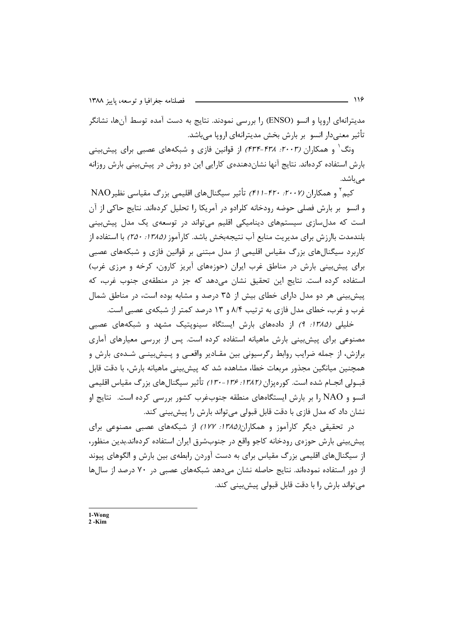مدیترانهای اروپا و انسو (ENSO) را بررسی نمودند. نتایج به دست آمده توسط آنها، نشانگر تأثیر معنیدار انسو بر بارش بخش مدیترانهای اروپا میباشد.

ونگ<sup>۱</sup> و همکاران (۲۰۰۳، ۴۳۸-۴۳۴) از قوانین فازی و شبکههای عصبی برای پیشبینی بارش استفاده کردهاند. نتایج آنها نشاندهندهی کارایی این دو روش در پیشبینی بارش روزانه مے باشد.

کیم ٔ و همکاران (۲۰۰۷: -۴۲-۳۱) تأثیر سیگنالهای اقلیمی بزرگ مقیاسی نظیر NAO و انسو بر بارش فصلی حوضه رودخانه کلرادو در آمریکا را تحلیل کردهاند. نتایج حاکی از آن است که مدل سازی سیستمهای دینامیکی اقلیم می تواند در توسعهی یک مدل پیش بینی بلندمدت باارزش براي مديريت منابع آب نتيجهبخش باشد. كارآموز (1*۳۸۵: ۲۵۰)* با استفاده از کاربرد سیگنالهای بزرگ مقیاس اقلیمی از مدل مبتنی بر قوانین فازی و شبکههای عصبی برای پیش بینی بارش در مناطق غرب ایران (حوزههای آبریز کارون، کرخه و مرزی غرب) استفاده کرده است. نتایج این تحقیق نشان میدهد که جز در منطقهی جنوب غرب، که پیش بینی هر دو مدل دارای خطای بیش از ۳۵ درصد و مشابه بوده است، در مناطق شمال غرب و غرب، خطای مدل فازی به ترتیب ۸/۴ و ۱۳ درصد کمتر از شبکهی عصبی است.

خلیلی (۱۳۸۵: ۹) از دادههای بارش ایستگاه سینوپتیک مشهد و شبکههای عصبی مصنوعی برای پیشبینی بارش ماهیانه استفاده کرده است. پس از بررسی معیارهای آماری برازش، از جمله ضرایب روابط رگرسیونی بین مقـادیر واقعـی و پـیشبینـی شـدهی بارش و همچنین میانگین مجذور مربعات خطا، مشاهده شد که پیش بینی ماهیانه بارش، با دقت قابل قبــولي انجــام شده است. كورەيزان (١٣٨٢: ١٣۶-١٣٠) تأثير سيگنالهاي بزرگ مقياس اقليمي انسو و NAO را بر بارش ایستگاههای منطقه جنوبغرب کشور بررسی کرده است. نتایج او نشان داد که مدل فازی با دقت قابل قبولی می تواند بارش را پیشبینی کند.

در تحقیقی دیگر کارآموز و همکاران *(۱۳۸۵: ۱۷۷)* از شبکههای عصبی مصنوعی برای پیش بینی بارش حوزهی رودخانه کاجو واقع در جنوبشرق ایران استفاده کردهاند.بدین منظور، از سیگنالهای اقلیمی بزرگ مقیاس برای به دست آوردن رابطهی بین بارش و الگوهای پیوند از دور استفاده نمودهاند. نتایج حاصله نشان می دهد شبکههای عصبی در ۷۰ درصد از سال ها مے تواند بارش ,ا با دقت قابل قبولی پیش،بینی کند.

 $1-W$ ong  $2 - Kim$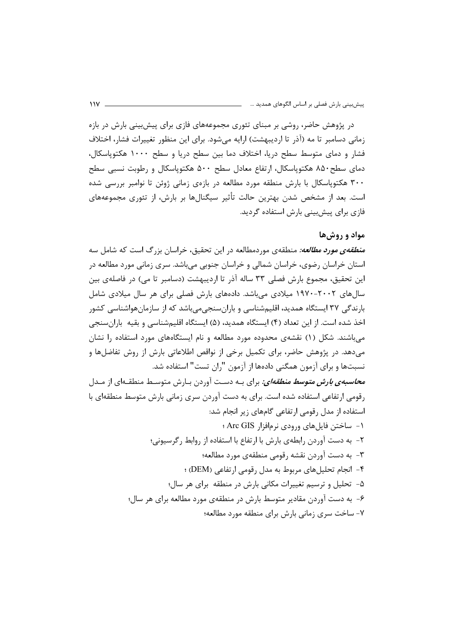در پژوهش حاضر، روشی بر مبنای تئوری مجموعههای فازی برای پیش بینی بارش در بازه زمانی دسامبر تا مه (آذر تا اردیبهشت) ارایه میشود. برای این منظور تغییرات فشار، اختلاف فشار و دمای متوسط سطح دریا، اختلاف دما بین سطح دریا و سطح ۱۰۰۰ هکتوپاسکال، دمای سطح۸۵۰ هکتوپاسکال، ارتفاع معادل سطح ۵۰۰ هکتوپاسکال و رطوبت نسبی سطح ۳۰۰ هکتوپاسکال با بارش منطقه مورد مطالعه در بازهی زمانی ژوئن تا نوامبر بررسی شده است. بعد از مشخص شدن بهترین حالت تأثیر سیگنالها بر بارش، از تئوری مجموعههای فازی برای پیش،بینی بارش استفاده گردید.

### مواد و روشها

*منطقهی مورد مطالعه:* منطقهی موردمطالعه در این تحقیق، خراسان بزرگ است که شامل سه استان خراسان رضوی، خراسان شمالی و خراسان جنوبی میباشد. سری زمانی مورد مطالعه در این تحقیق، مجموع بارش فصلی ۳۳ ساله آذر تا اردیبهشت (دسامبر تا می) در فاصلهی بین سال های ۲۰۰۲–۱۹۷۰ میلادی می باشد. دادههای بارش فصلی برای هر سال میلادی شامل بارندگی ۳۷ ایستگاه همدید، اقلیمشناسی و بارانسنجیمیباشد که از سازمانهواشناسی کشور اخذ شده است. از این تعداد (۴) ایستگاه همدید، (۵) ایستگاه اقلیمشناسی و بقیه باران سنجی میباشند. شکل (۱) نقشهی محدوده مورد مطالعه و نام ایستگاههای مورد استفاده را نشان می دهد. در پژوهش حاضر، برای تکمیل برخی از نواقص اطلاعاتی بارش از روش تفاضلها و نسبتها و برای آزمون همگنی دادهها از آزمون "ران تست" استفاده شد. *محاسبهی بارش متوسط منطقهای:* برای بـه دسـت آوردن بـارش متوسـط منطقـهای از مـدل رقومی ارتفاعی استفاده شده است. برای به دست آوردن سری زمانی بارش متوسط منطقهای با استفاده از مدل رقومی ارتفاعی گامهای زیر انجام شد: ۱- ساختن فایلهای ورودی نرمافزار Arc GIS ؛ ٢- به دست آوردن رابطهي بارش با ارتفاع با استفاده از روابط رگرسيوني؛ ٣- به دست آوردن نقشه رقومي منطقهي مورد مطالعه؛ ۴- انجام تحلیلهای مربوط به مدل رقومی ارتفاعی (DEM) ؛ ۵- تحلیل و ترسیم تغییرات مکانی بارش در منطقه برای هر سال؛ ۶- به دست آوردن مقادیر متوسط بارش در منطقهی مورد مطالعه برای هر سال؛ ٧- ساخت سرى زمانى بارش براى منطقه مورد مطالعه؛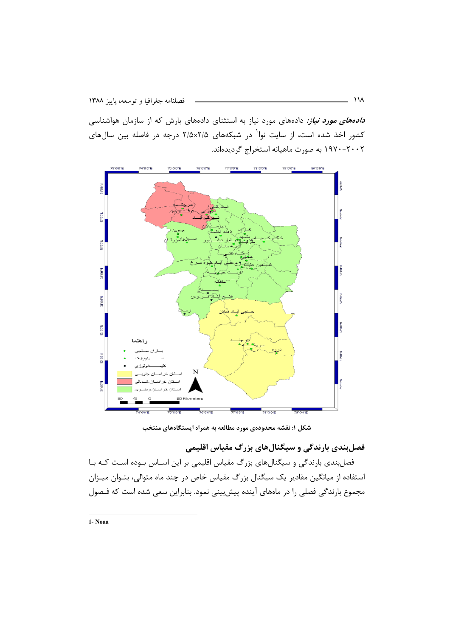دادههای مورد نیاز: دادههای مورد نیاز به استثنای دادههای بارش که از سازمان هواشناسی کشور اخذ شده است، از سایت نوا<sup>۱</sup> در شبکههای ۲/۵×۲/۵ درجه در فاصله بین سالهای ۲۰۰۲–۱۹۷۰ به صورت ماهیانه استخراج گردیدهاند.



شکل ۱: نقشه محدودهی مورد مطالعه به همراه ایستگاههای منتخب

فصلبندی بارندگی و سیگنالهای بزرگ مقیاس اقلیمی

فصلبندی بارندگی و سیگنالهای بزرگ مقیاس اقلیمی بر این اساس بوده است که با استفاده از میانگین مقادیر یک سیگنال بزرگ مقیاس خاص در چند ماه متوالی، بتـوان میـزان مجموع بارندگی فصلی را در ماههای آینده پیش بینی نمود. بنابراین سعی شده است که فـصول

1- Noaa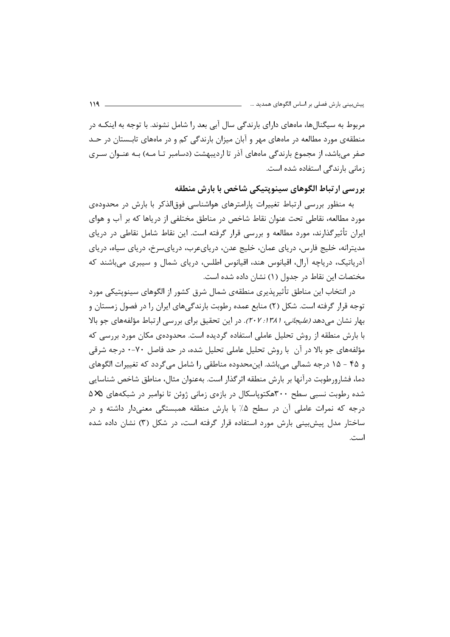مربوط به سیگنال ها، ماههای دارای بارندگی سال آبی بعد را شامل نشوند. با توجه به اینکـه در منطقهی مورد مطالعه در ماههای مهر و آبان میزان بارندگی کم و در ماههای تابستان در حـد صفر می باشد، از مجموع بارندگی ماههای آذر تا اردیبهشت (دسامبر تـا مـه) بـه عنـوان سـری زمانی بارندگی استفاده شده است.

بررسی ارتباط الگوهای سینوپتیکی شاخص با بارش منطقه

به منظور بررسی ارتباط تغییرات پارامترهای هواشناسی فوق|لذکر با بارش در محدودهی مورد مطالعه، نقاطی تحت عنوان نقاط شاخص در مناطق مختلفی از دریاها که بر آب و هوای ایران تأثیرگذارند، مورد مطالعه و بررسی قرار گرفته است. این نقاط شامل نقاطی در دریای مدیترانه، خلیج فارس، دریای عمان، خلیج عدن، دریایءرب، دریایسرخ، دریای سیاه، دریای آدریاتیک، دریاچه آرال، اقیانوس هند، اقیانوس اطلس، دریای شمال و سیبری می باشند که مختصات این نقاط در جدول (۱) نشان داده شده است.

در انتخاب این مناطق تأثیرپذیری منطقهی شمال شرق کشور از الگوهای سینوپتیکی مورد توجه قرار گرفته است. شکل (۲) منابع عمده رطوبت بارندگیهای ایران را در فصول زمستان و بهار نشان می دهد *(علیجانی، ۱۳۸۱: ۲۰۷)*. در این تحقیق برای بررسی ارتباط مؤلفههای جو بالا با بارش منطقه از روش تحلیل عاملی استفاده گردیده است. محدودهی مکان مورد بررسی که مؤلفههای جو بالا در آن با روش تحلیل عاملی تحلیل شده، در حد فاصل ۷۰-۰ درجه شرقی و ۴۵ - ۱۵ درجه شمالی میباشد. این محدوده مناطقی را شامل میگردد که تغییرات الگوهای دما، فشارورطوبت درآنها بر بارش منطقه اثرگذار است. بهعنوان مثال، مناطق شاخص شناسایی شده رطوبت نسبی سطح ۳۰۰هکتوپاسکال در بازهی زمانی ژوئن تا نوامبر در شبکههای ۵×۵ درجه که نمرات عاملی آن در سطح ۵٪ با بارش منطقه همبستگی معنیدار داشته و در ساختار مدل پیشبینی بارش مورد استفاده قرار گرفته است، در شکل (۳) نشان داده شده است.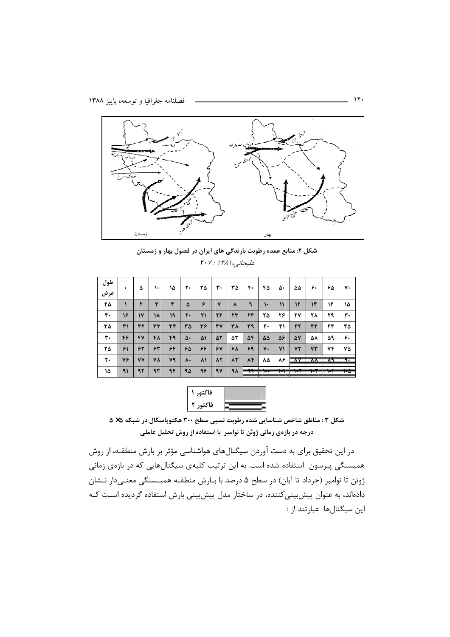

شکل ۲: منابع عمده رطوبت بارندگی های ایران در فصول بهار و زمستان عليجانبي، ١٣٨١ : ٢٠٧

| طول | ۰  | ۵             | ١٠ | ۱۵ | ٢٠             | ۲۵        | ٣٠          | ٣۵                 | ۴٠ | ۴۵              | ۵۰           | ۵۵ | ۶٠ | ۶۵ | ٧٠                   |
|-----|----|---------------|----|----|----------------|-----------|-------------|--------------------|----|-----------------|--------------|----|----|----|----------------------|
| عرض |    |               |    |    |                |           |             |                    |    |                 |              |    |    |    |                      |
| ۴۵  |    |               | ٣  | ۴  | ۵              | ۶         | $\mathbf v$ | ۸                  | ٩  | $\mathsf{L}$    | $\mathbf{v}$ | ۱۲ | ١٣ | ۱۴ | ۱۵                   |
| ۴٠  | ۱۶ | $\mathsf{N}'$ | ۱۸ | 19 | $\mathbf{r}$ . | ٢١        | ٢٢          | ٢٣                 | ٢۴ | ۲۵              | ۲۶           | ۲٧ | ۲۸ | ۲۹ | ٣٠                   |
| ٣۵  | ٣١ | ٣٢            | ٣٣ | ٣۴ | ٣۵             | ٣۶        | ٣٧          | ٣٨                 | ٣٩ | ۴۰              | ۴۱           | ۴٢ | ۴۳ | ۴۴ | ۴۵                   |
| ٣٠  | ۴۶ | ۴٧            | ۴۸ | 49 | ۵۰             | ۵۱        | 5٢          | ۵٣                 | 54 | $\Delta \Delta$ | 56           | 57 | ۵۸ | ۵۹ | ۶٠                   |
| ۲۵  | ۶١ | ۶۲            | 54 | ۶۴ | ۶۵             | ۶۶        | 54          | ۶۸                 | ۶۹ | ٧٠              | ۷۱           | ٧٢ | ۷٣ | 74 | ٧۵                   |
| ٢٠  | ٧۶ | ٧V            | ۷۸ | ٧٩ | ۸۰             | $\lambda$ | $\lambda$ ٢ | $\Lambda \Upsilon$ | 84 | ۸۵              | ۸۶           | 斑  | ¥  | 84 | $\frac{1}{\sqrt{2}}$ |
| ١۵  | ۹۱ | 92            | 95 | ٩۴ | ۹۵             | ۹۶        | 9V          | ۹۸                 | ٩٩ |                 | Ħ            | ⊶  | ٣٣ | ۴۴ | -۱۰۵                 |

| فاكتمر |  |
|--------|--|
| فاكتم  |  |

شکل ۳: مناطق شاخص شناسایی شده رطوبت نسبی سطح ۳۰۰ هکتوپاسکال در شبکه ۵× ۵ درجه در بازهی زمانی ژوئن تا نوامبر با استفاده از روش تحلیل عاملی

در این تحقیق برای به دست آوردن سیگنالهای هواشناسی مؤثر بر بارش منطقـه، از روش همبستگی پیرسون استفاده شده است. به این ترتیب کلیهی سیگنالهایی که در بازهی زمانی ژوئن تا نوامبر (خرداد تا آبان) در سطح ۵ درصد با بـارش منطقـه همبــستگي معنــيدار نــشان دادهاند، به عنوان پیش بینی کننده، در ساختار مدل پیش بینی بارش استفاده گردیده است کـه این سیگنالها عبارتند از :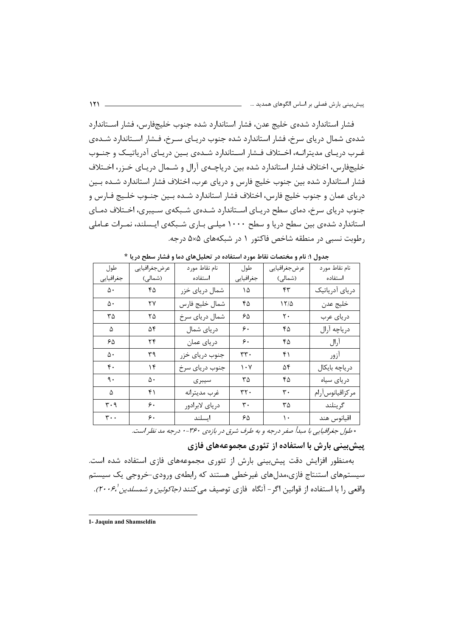فشار استاندارد شدهی خلیج عدن، فشار استاندارد شده جنوب خلیجفارس، فشار استاندارد شدهی شمال دریای سرخ، فشار استاندارد شده جنوب دریـای سـرخ، فـشار اسـتاندارد شـدهی غـرب دریـای مدیترانــه، اخــتلاف فــشار اســتاندارد شــدهی بــین دریـای آدریاتیــک و جنــوب خلیجفارس، اختلاف فشار استاندارد شده بین دریاچـهی آرال و شــمال دریـای خــزر، اخــتلاف فشار استاندارد شده بین جنوب خلیج فارس و دریای عرب، اختلاف فشار استاندارد شـده بـین درياي عمان و جنوب خليج فارس، اختلاف فشار استاندارد شــده بــين جنــوب خلــيج فــارس و جنوب دریای سرخ، دمای سطح دریـای اسـتاندارد شـدهی شـبکهی سـیبری، اخـتلاف دمـای استاندارد شدهی بین سطح دریا و سطح ۱۰۰۰ میلـی بـاری شـبکهی ایـسلند، نمـرات عـاملی رطوبت نسبی در منطقه شاخص فاکتور ۱ در شبکههای ۵×۵ درجه.

| طول                           | عرضجغرافيايي | نام نقاط مورد  | طول                             | عرضجغرافيايي               | نام نقاط مورد   |
|-------------------------------|--------------|----------------|---------------------------------|----------------------------|-----------------|
| جغرافيايي                     | (شمالی)      | استفاده        | جغرافيايي                       | (شمالی)                    | استفاده         |
| ۵۰                            | ۴۵           | شمال دریای خزر | ۱۵                              | $\mathfrak{k}\mathfrak{r}$ | دریای آدریاتیک  |
| ۵۰                            | ۲۷           | شمال خليج فارس | ۴۵                              | 17/2                       | خليج عدن        |
| ۳۵                            | ۲۵           | شمال درياي سرخ | ۶۵                              | ٢٠                         | درياي عرب       |
| ۵                             | ۵۴           | دریای شمال     | ۶.                              | ۴۵                         | درياچه آرال     |
| ۶۵                            | ۲۴           | درياي عمان     | ۶.                              | ۴۵                         | آرال            |
| ۵۰                            | ٣٩           | جنوب درياي خزر | ۳۳۰                             | ۴۱                         | آزور            |
| ۴٠                            | ۱۴           | جنوب درياي سرخ | $\mathcal{N} \cdot \mathcal{N}$ | ۵۴                         | درياچه بايكال   |
| ٩.                            | ۵۰           | سيبرى          | ۳۵                              | ۴۵                         | درياى سياه      |
| ۵                             | ۴۱           | غرب مديترانه   | ۳۲۰                             | ٣٠                         | مركزاقيانوسأرام |
| $\mathbf{r} \cdot \mathbf{q}$ | ۶.           | درياي لابرادور | ٣٠                              | ۳۵                         | گرينلند         |
| $\mathbf{r}$ .                | ۶.           | ايسلند         | ۶۵                              | ۱۰                         | اقيانوس هند     |
|                               |              |                |                                 |                            |                 |

جدول ۱: نام و مختصات نقاط مورد استفاده در تحلیل های دما و فشار سطح دریا \*

\* طول جغرافیایی با مبدأ صفر درجه و به طرف شرق در بازهی ۳۶۰-۰ درجه مد نظر است.

پیش بینی بارش با استفاده از تئوری مجموعههای فازی

بهمنظور افزایش دقت پیش بینی بارش از تئوری مجموعههای فازی استفاده شده است. سیستمهای استنتاج فازی،مدلهای غیرخطی هستند که رابطهی ورودی-خروجی یک سیستم واقعی را با استفاده از قوانین اگر- آنگاه فازی توصیف می کنند *(جاکوئین و شمسلدین '۲۰۰۶*).

<sup>1-</sup> Jaquin and Shamseldin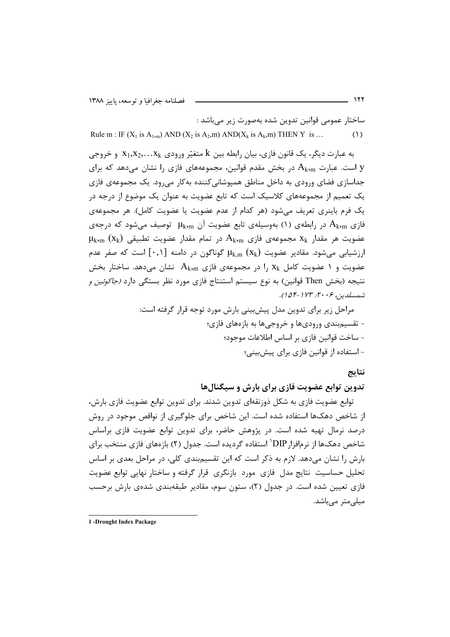ساختار عمومي قوانين تدوين شده بهصورت زير مي باشد :

Rule m : IF  $(X_1$  is  $A_{1,m}$ ) AND  $(X_2$  is  $A_2,m)$  AND $(X_k$  is  $A_k,m)$  THEN Y is ... (1)

به عبارت ديگر، يک قانون فازي، بيان رابطه بين k متغيّر ورودي X1,X2,...X و خروجي است. عبارت  $A_{\rm k,m}$  در بخش مقدم قوانین، مجموعههای فازی را نشان میدهد که برای  $\,$ جداسازی فضای ورودی به داخل مناطق همپوشانیکننده بهکار میرود. یک مجموعهی فازی یک تعمیم از مجموعههای کلاسیک است که تابع عضویت به عنوان یک موضوع از درجه در یک فرم باینری تعریف میشود (هر کدام از عدم عضویت یا عضویت کامل). هر مجموعهی فازی  $\rm A_{k,m}$  در رابطهی (۱) بهوسیلهی تابع عضویت آن  $\rm \mu_{k,m}$  توصیف میشود که درجهی  $\mu_{\rm k,m} \, \left( {\rm x}_{\rm k} \right)$  عضویت هر مقدار  ${\rm x}_{\rm k}$  مجموعهی فازی  ${\rm A}_{\rm k,m}$  در تمام مقدار عضویت تطبیقی ارزشیابی می شود. مقادیر عضویت  $\mu_{\rm k.m} \ (X_{\rm k})$  گوناگون در دامنه  $[\,\cdot\,,\cdot\,]$  است که صفر عدم عضویت و ۱ عضویت کامل  $\rm\,X_k$  را در مجموعهی فازی  $\rm\,A_{k,m}$  نشان میدهد. ساختار بخش نتیجه (بخش Then قوانین) به نوع سیستم استنتاج فازی مورد نظر بستگی دارد *(جاکوئین و* .<br>شمسلدین، ۲۰*۰۶: ۱۲۳-۱۵۴*).

> مراحل زیر برای تدوین مدل پیشبینی بارش مورد توجه قرار گرفته است: - تقسیمٖبندی ورودیها و خروجیها به بازههای فازی؛ - ساخت قوانين فازي بر اساس اطلاعات موجود؛ - استفاده از قوانین فازی برای پیشبینی؛

#### نتايج

تدوین توابع عضویت فازی برای بارش و سیگنالها

توابع عضويت فازي به شكل ذوزنقهاي تدوين شدند. براي تدوين توابع عضويت فازي بارش، از شاخص دهکـها استفاده شده است. این شاخص برای جلوگیری از نواقص موجود در روش درصد نرمال تهیه شده است. در پژوهش حاضر، برای تدوین توابع عضویت فازی براساس شاخص دهکـها از نرم|فزار $\rm DIP'$  استفاده گردیده است. جدول (۲) بازمهای فازی منتخب برای بارش را نشان میدهد. لازم به ذکر است که این تقسیمٖبندی کلی، در مراحل بعدی بر اساس تحلیل حساسیت نتایج مدل فازی مورد بازنگری قرار گرفته و ساختار نهایی توابع عضویت فازی تعیین شده است. در جدول (۲)، ستون سوم، مقادیر طبقهبندی شدهی بارش برحسب مبلے متر مے باشد.

**<sup>1</sup> -Drought Index Package**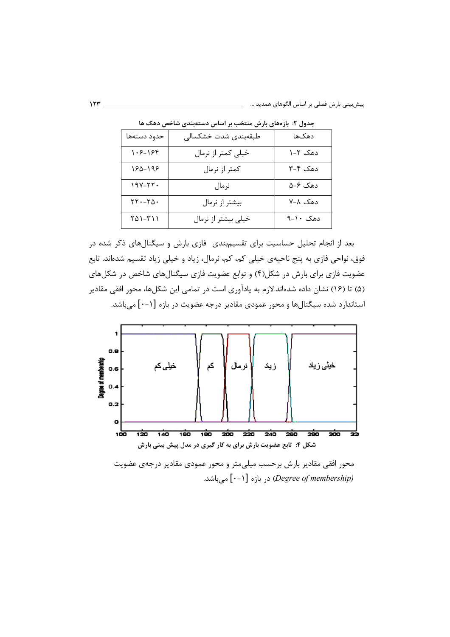پیشبینی بارش فصلی بر اساس الگوهای همدید …

| حدود دستهها                                                         | طبقەبندى شدت خشكسالى | دهكما    |
|---------------------------------------------------------------------|----------------------|----------|
| ۱۰۶-۱۶۴                                                             | خیلی کمتر از نرمال   | دهک ۲–۱  |
| 160-196                                                             | كمتر از نرمال        | دهک ۴-۳  |
| ۱۹۷-۲۲۰                                                             | نرمال                | دھک ۶–۵  |
| $\mathsf{Y}\mathsf{Y}\cdot\mathsf{-}\mathsf{Y}\mathsf{\Delta}\cdot$ | بیشتر از نرمال       | دهک ۷–۷  |
| ۱۱۳–۱۵۱                                                             | خیلی بیشتر از نرمال  | دهک ۱۰–۹ |

جدول ۲: بازههای بارش منتخب بر اساس دستهبندی شاخص دهک ها

بعد از انجام تحلیل حساسیت برای تقسیمٖبندی ِ فازی بارش و سیگنالهای ذکر شده در فوق، نواحی فازی به پنج ناحیهی خیلی کم، کم، نرمال، زیاد و خیلی زیاد تقسیم شدهاند. تابع عضویت فازی برای بارش در شکل(۴) و توابع عضویت فازی سیگنالهای شاخص در شکلهای (۵) تا (۱۶) نشان داده شدهاند.لازم به یادآوری است در تمامی این شکلها، محور افقی مقادیر استاندارد شده سیگنالها و محور عمودی مقادیر درجه عضویت در بازه [۱-۰] میباشد.



محور افقی مقادیر بارش برحسب میلیءتر و محور عمودی مقادیر درجهی عضویت (Degree of membership) در بازه [۰-۱] میباشد.

 $155$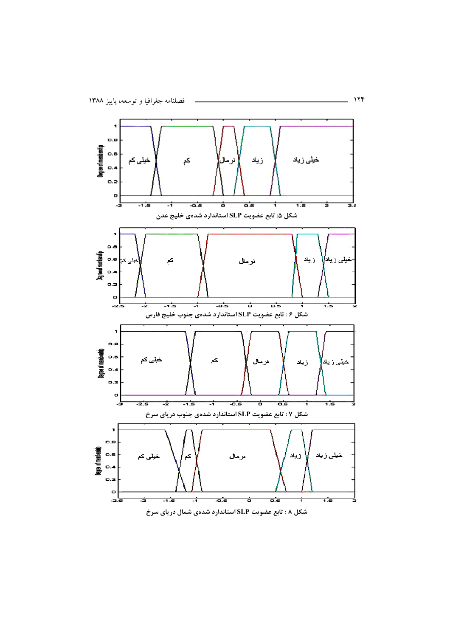

**W - - -G) SLP 0\*MN O : 8 \$**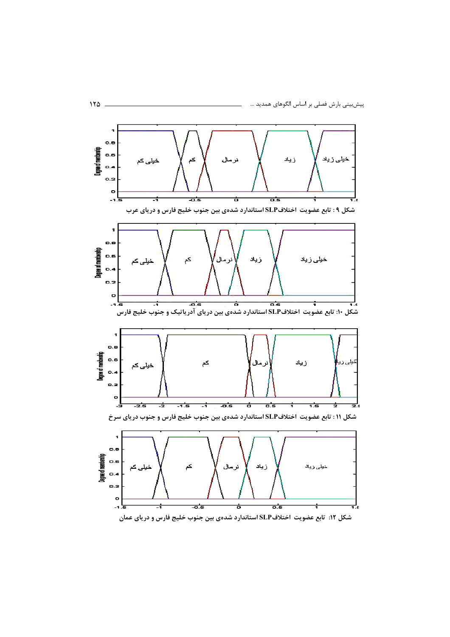

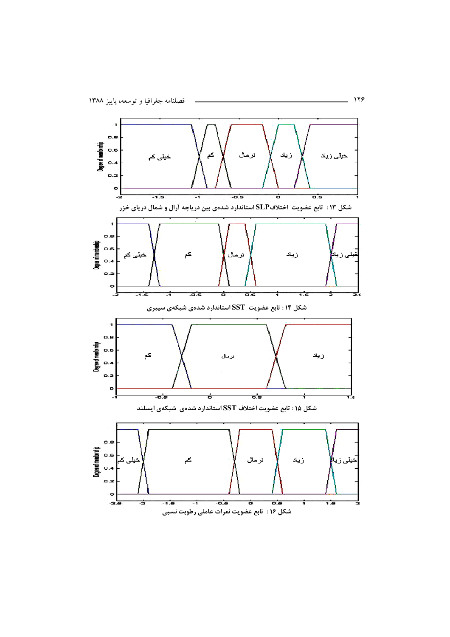

 $-119$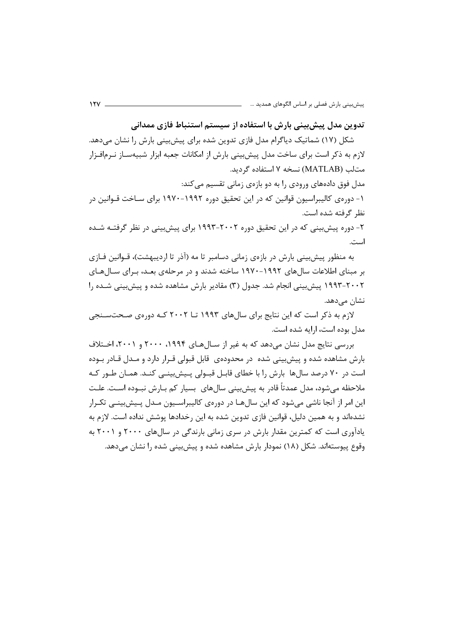تدوین مدل پیش،بینی بارش با استفاده از سیستم استنباط فازی ممدانی

شکل (۱۷) شماتیک دیاگرام مدل فازی تدوین شده برای پیشبینی بارش را نشان می۵هد. لازم به ذکر است برای ساخت مدل پیش بینی بارش از امکانات جعبه ابزار شبیهسـاز نـرمافـزار متالب (MATLAB) نسخه ۷ استفاده گردید.

مدل فوق دادههای ورودی را به دو بازهی زمانی تقسیم می کند: ۱– دورهی کالیبراسیون قوانین که در این تحقیق دوره ۱۹۹۲–۱۹۷۰ برای سـاخت قـوانین در نظر گرفته شده است.

۲- دوره پیش بینی که در این تحقیق دوره ۲۰۰۲–۱۹۹۳ برای پیش بینی در نظر گرفتـه شــده است.

به منظور پیشبینی بارش در بازهی زمانی دسامبر تا مه (آذر تا اردیبهشت)، قــوانین فــازی بر مبنای اطلاعات سالهای ۱۹۹۲–۱۹۷۰ ساخته شدند و در مرحلهی بعـد، بـرای سـالهـای ۲۰۰۲–۱۹۹۳ پیش بینی انجام شد. جدول (۳) مقادیر بارش مشاهده شده و پیش بینی شـده را نشان مے دھد.

لازم به ذکر است که این نتایج برای سالهای ۱۹۹۳ تــا ۲۰۰۲ کــه دورهی صـحتسـنجی مدل بوده است، ارایه شده است.

بررسی نتایج مدل نشان می دهد که به غیر از سـالهـای ۱۹۹۴، ۲۰۰۰ و ۲۰۰۱، اخــتلاف بارش مشاهده شده و پیش بینی شده در محدودهی قابل قبولی قـرار دارد و مـدل قـادر بـوده است در ۷۰ درصد سالها بارش را با خطای قابـل قبـولی پـیش،بینـی کنـد. همـان طـور کـه ملاحظه مي شود، مدل عمدتاً قادر به پيش بيني سال هاي بسيار کم بــارش نبــوده اســت. علــت این امر از آنجا ناشی میشود که این سال۱ها در دورهی کالیبراسـیون مـدل پـیشِبینـی تکـرار نشدهاند و به همین دلیل، قوانین فازی تدوین شده به این رخدادها پوشش نداده است. لازم به یادآوری است که کمترین مقدار بارش در سری زمانی بارندگی در سالهای ۲۰۰۰ و ۲۰۰۱ به وقوع پیوستهاند. شکل (۱۸) نمودار بارش مشاهده شده و پیش بینی شده را نشان می دهد.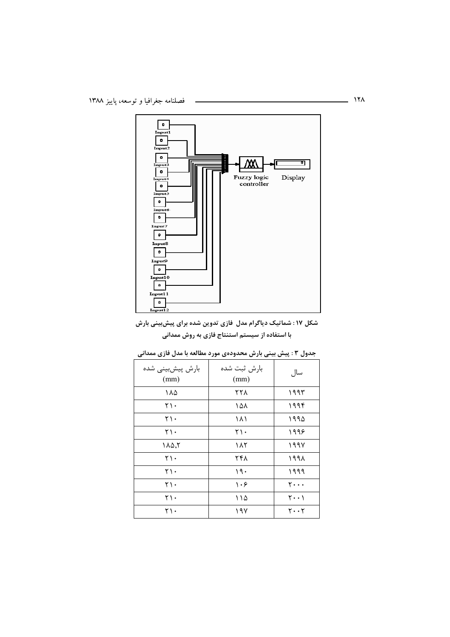

شکل ۱۷: شماتیک دیاگرام مدل فازی تدوین شده برای پیشبینی بارش با استفاده از سیستم استنتاج فازی به روش ممدانی

| بارش پیشبینی شده<br>(mm)   | بارش ثبت شده<br>(mm) | سال                                 |
|----------------------------|----------------------|-------------------------------------|
| ۱۸۵                        | ۲۲۸                  | ۱۹۹۳                                |
| ۲۱۰                        | ۱۵۸                  | ۱۹۹۴                                |
| ۲۱۰                        | ۱۸۱                  | ۱۹۹۵                                |
| ۲۱۰                        | ۲۱۰                  | ۱۹۹۶                                |
| $\Lambda \Delta, \Upsilon$ | ۱۸۲                  | 1997                                |
| ۲۱۰                        | ۲۴۸                  | ۱۹۹۸                                |
| ۲۱۰                        | ۱۹۰                  | ۱۹۹۹                                |
| ۲۱.                        | ۱۰۶                  | $\mathbf{y} \cdot \cdot \cdot$      |
| ۲۱.                        | ۱۱۵                  | $\mathbf{Y} \cdot \cdot \mathbf{Y}$ |
| ۲۱.                        | ۱۹۷                  | $\mathbf{y} \cdot \mathbf{y}$       |

| جدول ۳ : پیش بینی بارش محدودهی مورد مطالعه با مدل فازی ممدانی |  |  |  |  |  |
|---------------------------------------------------------------|--|--|--|--|--|
|---------------------------------------------------------------|--|--|--|--|--|

 $\overline{\phantom{a}}$  111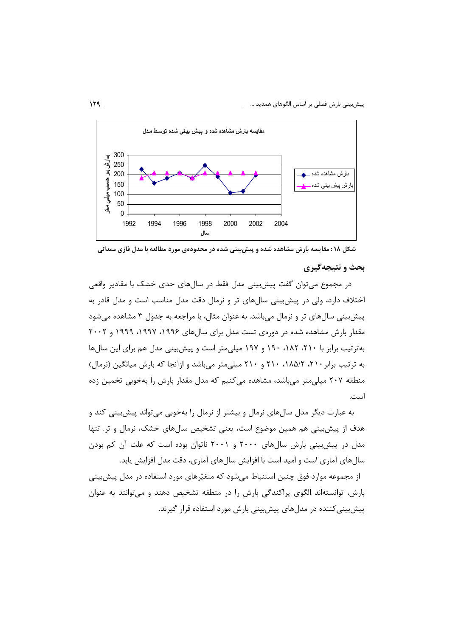

شکل ۱۸: مقایسه بارش مشاهده شده و پیش بینی شده در محدودهی مورد مطالعه با مدل فازی ممدانی

#### بحث و نتیجهگیری

در مجموع می¤وان گفت پیش بینی مدل فقط در سالهای حدی خشک با مقادیر واقعی اختلاف دارد، ولي در پيش بيني سالهاي تر و نرمال دقت مدل مناسب است و مدل قادر به پیش بینی سالهای تر و نرمال می باشد. به عنوان مثال، با مراجعه به جدول ۳ مشاهده میشود مقدار بارش مشاهده شده در دورهی تست مدل برای سالهای ۱۹۹۶، ۱۹۹۷، ۱۹۹۹ و ۲۰۰۲ بهترتیب برابر با ۲۱۰، ۱۸۲، ۱۹۰ و ۱۹۷ میلیمتر است و پیشبینی مدل هم برای این سالها به ترتیب برابر ۲۱۰، ۱۸۵/۲، ۲۱۰ و ۲۱۰ میلی متر می باشد و ازآنجا که بارش میانگین (نرمال) منطقه ۲۰۷ میلی متر می باشد، مشاهده می کنیم که مدل مقدار بارش را بهخوبی تخمین زده است.

به عبارت دیگر مدل سالهای نرمال و بیشتر از نرمال را بهخوبی میتواند پیشبینی کند و هدف از پیشبینی هم همین موضوع است، یعنی تشخیص سالهای خشک، نرمال و تر. تنها مدل در پیش بینی بارش سالهای ۲۰۰۰ و ۲۰۰۱ ناتوان بوده است که علت آن کم بودن سالهای آماری است و امید است با افزایش سالهای آماری، دقت مدل افزایش پابد. از مجموعه موارد فوق چنین استنباط می شود که متغیّرهای مورد استفاده در مدل پیش بینی بارش، توانستهاند الگوی پراکندگی بارش را در منطقه تشخیص دهند و می توانند به عنوان پیش بینی کننده در مدلهای پیش بینی بارش مورد استفاده قرار گیرند.

 $119 -$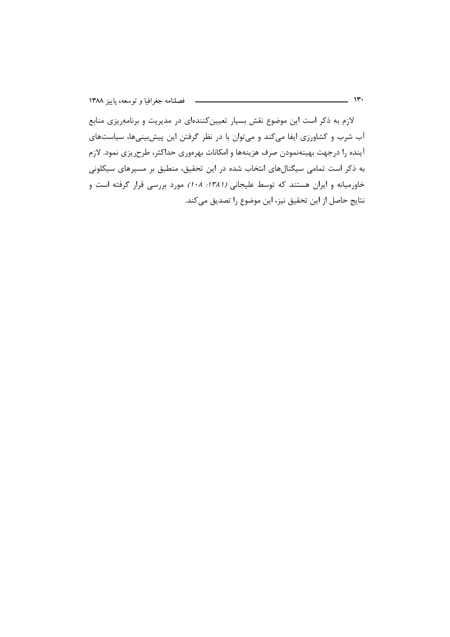لازم به ذکر است این موضوع نقش بسیار تعیین کنندهای در مدیریت و برنامهریزی منابع آب شرب و کشاورزی ایفا میکند و می توان با در نظر گرفتن این پیش بینیها، سیاستهای آینده را درجهت بهینهنمودن صرف هزینهها و امکانات بهرهوری حداکثر، طرحریزی نمود. لازم به ذکر است تمامی سیگنالهای انتخاب شده در این تحقیق، منطبق بر مسیرهای سیکلونی خاورمیانه و ایران هستند که توسط علیجانی (١٣٨١: ١٠٨) مورد بررسی قرار گرفته است و نتايج حاصل از اين تحقيق نيز، اين موضوع را تصديق ميكند.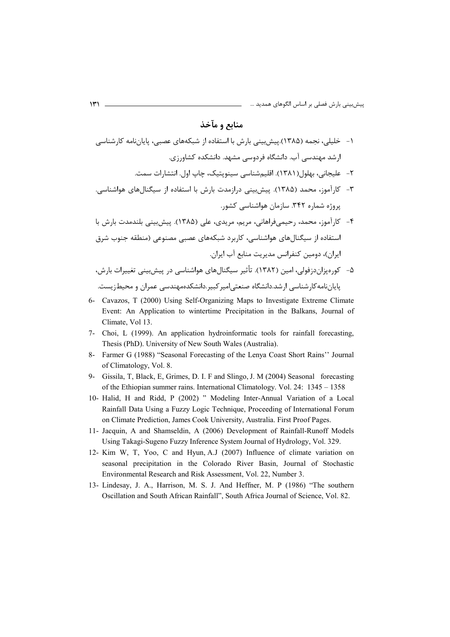# منابع و مآخذ

۱- خلیلی، نجمه (۱۳۸۵).پیش بینی بارش با استفاده از شبکههای عصبی، پایاننامه کارشناسی ارشد مهندسی آب. دانشگاه فردوسی مشهد. دانشکده کشاورزی. ٢- عليجاني، بهلول(١٣٨١). اقليمشناسي سينوپتيک، چاپ اول. انتشارات سمت. ۳- کارآموز، محمد (۱۳۸۵). پیشبینی درازمدت بارش با استفاده از سیگنالهای هواشناسی. بروژه شماره ۳۴۲. سازمان هواشناسی کشور. ۴– کارآموز، محمد، رحیمیفراهانی، مریم، مریدی، علی (۱۳۸۵). پیش بینی بلندمدت بارش با استفاده از سیگنا| های هواشناسی، کاربرد شبکههای عصبی مصنوعی (منطقه جنوب شرق ایران)، دومین کنفرانس مدیریت منابع آب ایران. ۵– کورویزان دزفولی، امین (۱۳۸۲). تأثیر سیگنال های هواشناسی در پیش بینی تغییرات بارش،

- 6- Cavazos, T (2000) Using Self-Organizing Maps to Investigate Extreme Climate Event: An Application to wintertime Precipitation in the Balkans, Journal of Climate, Vol 13.
- 7- Choi, L (1999). An application hydroinformatic tools for rainfall forecasting, Thesis (PhD). University of New South Wales (Australia).
- 8- Farmer G (1988) "Seasonal Forecasting of the Lenya Coast Short Rains" Journal of Climatology, Vol. 8.
- 9- Gissila, T, Black, E, Grimes, D. I. F and Slingo, J. M (2004) Seasonal forecasting of the Ethiopian summer rains. International Climatology. Vol. 24: 1345 - 1358
- 10- Halid, H and Ridd, P (2002) " Modeling Inter-Annual Variation of a Local Rainfall Data Using a Fuzzy Logic Technique, Proceeding of International Forum on Climate Prediction, James Cook University, Australia. First Proof Pages.
- 11- Jacquin, A and Shamseldin, A (2006) Development of Rainfall-Runoff Models Using Takagi-Sugeno Fuzzy Inference System Journal of Hydrology, Vol. 329.
- 12- Kim W, T, Yoo, C and Hyun, A.J (2007) Influence of climate variation on seasonal precipitation in the Colorado River Basin, Journal of Stochastic Environmental Research and Risk Assessment, Vol. 22, Number 3.
- 13- Lindesay, J. A., Harrison, M. S. J. And Heffner, M. P (1986) "The southern Oscillation and South African Rainfall", South Africa Journal of Science, Vol. 82.